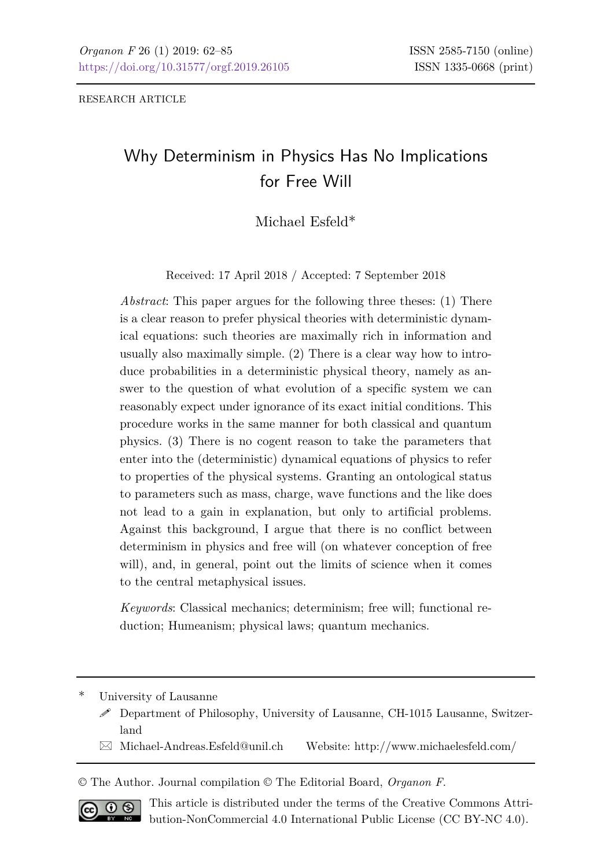RESEARCH ARTICLE

# Why Determinism in Physics Has No Implications for Free Will

Michael Esfeld\*

Received: 17 April 2018 / Accepted: 7 September 2018

*Abstract*: This paper argues for the following three theses: (1) There is a clear reason to prefer physical theories with deterministic dynamical equations: such theories are maximally rich in information and usually also maximally simple. (2) There is a clear way how to introduce probabilities in a deterministic physical theory, namely as answer to the question of what evolution of a specific system we can reasonably expect under ignorance of its exact initial conditions. This procedure works in the same manner for both classical and quantum physics. (3) There is no cogent reason to take the parameters that enter into the (deterministic) dynamical equations of physics to refer to properties of the physical systems. Granting an ontological status to parameters such as mass, charge, wave functions and the like does not lead to a gain in explanation, but only to artificial problems. Against this background, I argue that there is no conflict between determinism in physics and free will (on whatever conception of free will), and, in general, point out the limits of science when it comes to the central metaphysical issues.

*Keywords*: Classical mechanics; determinism; free will; functional reduction; Humeanism; physical laws; quantum mechanics.

University of Lausanne

- Department of Philosophy, University of Lausanne, CH-1015 Lausanne, Switzerland
- $\boxtimes$  Michael-Andreas.Esfeld@unil.ch Website: http://www.michaelesfeld.com/

© The Author. Journal compilation © The Editorial Board, *Organon F*.



This article is distributed under the terms of the Creative Commons Attribution-NonCommercial 4.0 International Public License (CC BY-NC 4.0).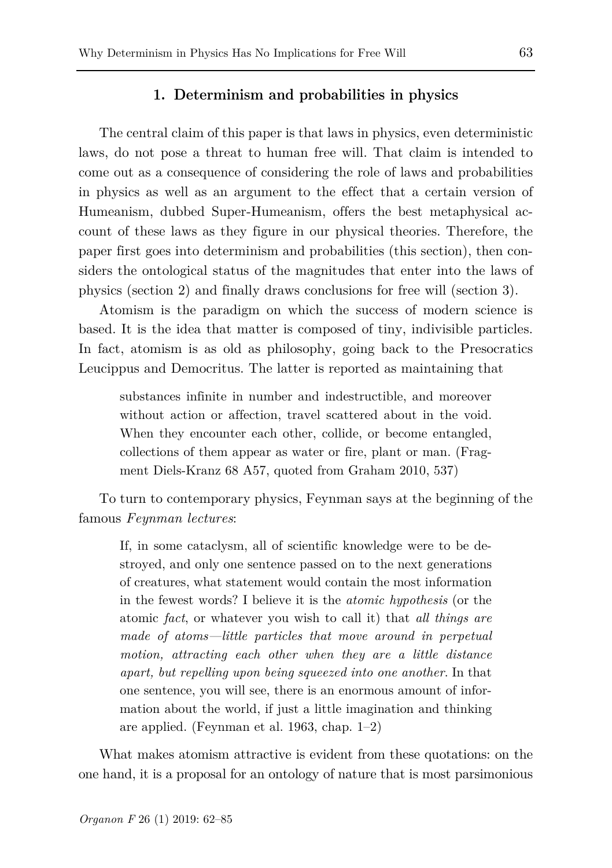## **1. Determinism and probabilities in physics**

The central claim of this paper is that laws in physics, even deterministic laws, do not pose a threat to human free will. That claim is intended to come out as a consequence of considering the role of laws and probabilities in physics as well as an argument to the effect that a certain version of Humeanism, dubbed Super-Humeanism, offers the best metaphysical account of these laws as they figure in our physical theories. Therefore, the paper first goes into determinism and probabilities (this section), then considers the ontological status of the magnitudes that enter into the laws of physics (section 2) and finally draws conclusions for free will (section 3).

Atomism is the paradigm on which the success of modern science is based. It is the idea that matter is composed of tiny, indivisible particles. In fact, atomism is as old as philosophy, going back to the Presocratics Leucippus and Democritus. The latter is reported as maintaining that

substances infinite in number and indestructible, and moreover without action or affection, travel scattered about in the void. When they encounter each other, collide, or become entangled, collections of them appear as water or fire, plant or man. (Fragment Diels-Kranz 68 A57, quoted from Graham 2010, 537)

To turn to contemporary physics, Feynman says at the beginning of the famous *Feynman lectures*:

If, in some cataclysm, all of scientific knowledge were to be destroyed, and only one sentence passed on to the next generations of creatures, what statement would contain the most information in the fewest words? I believe it is the *atomic hypothesis* (or the atomic *fact*, or whatever you wish to call it) that *all things are made of atoms—little particles that move around in perpetual motion, attracting each other when they are a little distance apart, but repelling upon being squeezed into one another*. In that one sentence, you will see, there is an enormous amount of information about the world, if just a little imagination and thinking are applied. (Feynman et al. 1963, chap. 1–2)

What makes atomism attractive is evident from these quotations: on the one hand, it is a proposal for an ontology of nature that is most parsimonious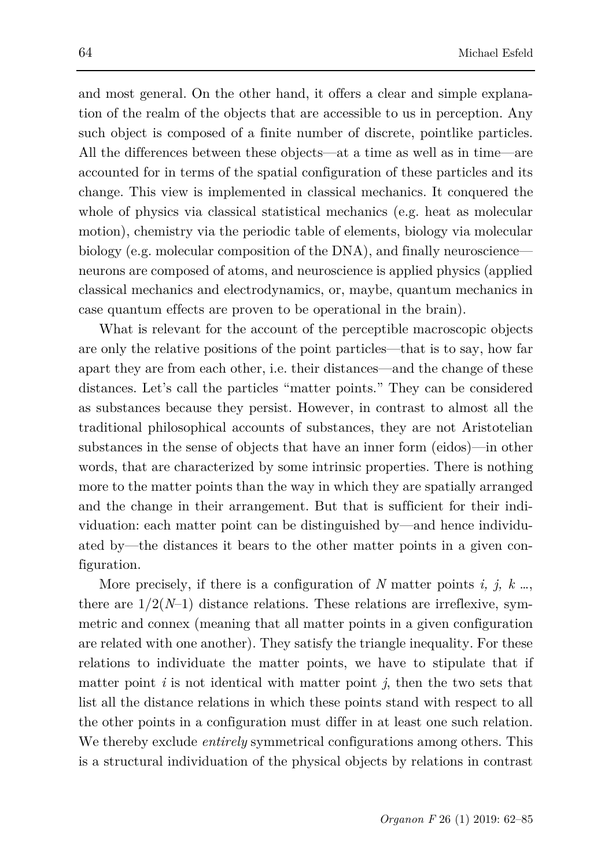and most general. On the other hand, it offers a clear and simple explanation of the realm of the objects that are accessible to us in perception. Any such object is composed of a finite number of discrete, pointlike particles. All the differences between these objects—at a time as well as in time—are accounted for in terms of the spatial configuration of these particles and its change. This view is implemented in classical mechanics. It conquered the whole of physics via classical statistical mechanics (e.g. heat as molecular motion), chemistry via the periodic table of elements, biology via molecular biology (e.g. molecular composition of the DNA), and finally neuroscience neurons are composed of atoms, and neuroscience is applied physics (applied classical mechanics and electrodynamics, or, maybe, quantum mechanics in case quantum effects are proven to be operational in the brain).

What is relevant for the account of the perceptible macroscopic objects are only the relative positions of the point particles—that is to say, how far apart they are from each other, i.e. their distances—and the change of these distances. Let's call the particles "matter points." They can be considered as substances because they persist. However, in contrast to almost all the traditional philosophical accounts of substances, they are not Aristotelian substances in the sense of objects that have an inner form (eidos)—in other words, that are characterized by some intrinsic properties. There is nothing more to the matter points than the way in which they are spatially arranged and the change in their arrangement. But that is sufficient for their individuation: each matter point can be distinguished by—and hence individuated by—the distances it bears to the other matter points in a given configuration.

More precisely, if there is a configuration of *N* matter points *i, j, k* …, there are  $1/2(N-1)$  distance relations. These relations are irreflexive, symmetric and connex (meaning that all matter points in a given configuration are related with one another). They satisfy the triangle inequality. For these relations to individuate the matter points, we have to stipulate that if matter point  $i$  is not identical with matter point  $j$ , then the two sets that list all the distance relations in which these points stand with respect to all the other points in a configuration must differ in at least one such relation. We thereby exclude *entirely* symmetrical configurations among others. This is a structural individuation of the physical objects by relations in contrast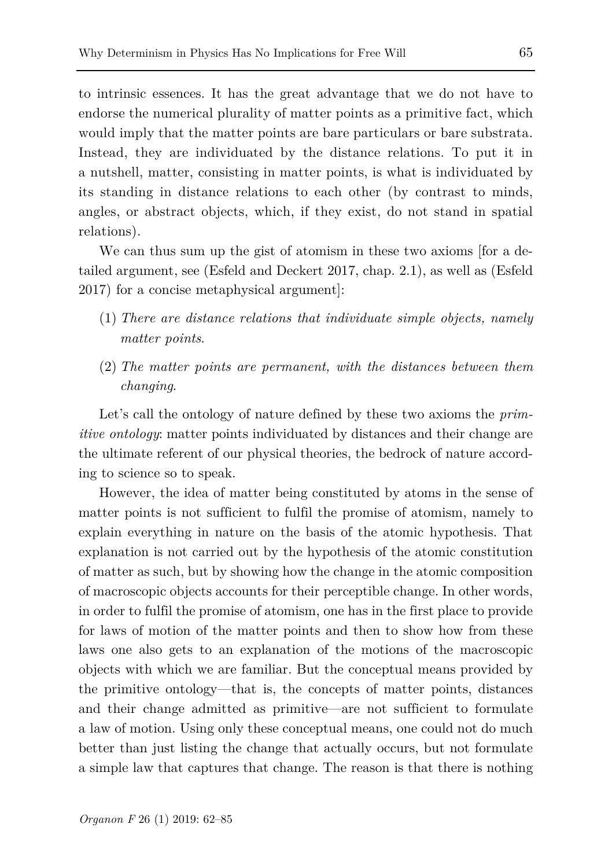to intrinsic essences. It has the great advantage that we do not have to endorse the numerical plurality of matter points as a primitive fact, which would imply that the matter points are bare particulars or bare substrata. Instead, they are individuated by the distance relations. To put it in a nutshell, matter, consisting in matter points, is what is individuated by its standing in distance relations to each other (by contrast to minds, angles, or abstract objects, which, if they exist, do not stand in spatial relations).

We can thus sum up the gist of atomism in these two axioms [for a detailed argument, see (Esfeld and Deckert 2017, chap. 2.1), as well as (Esfeld 2017) for a concise metaphysical argument]:

- (1) *There are distance relations that individuate simple objects, namely matter points*.
- (2) *The matter points are permanent, with the distances between them changing*.

Let's call the ontology of nature defined by these two axioms the *primitive ontology*: matter points individuated by distances and their change are the ultimate referent of our physical theories, the bedrock of nature according to science so to speak.

However, the idea of matter being constituted by atoms in the sense of matter points is not sufficient to fulfil the promise of atomism, namely to explain everything in nature on the basis of the atomic hypothesis. That explanation is not carried out by the hypothesis of the atomic constitution of matter as such, but by showing how the change in the atomic composition of macroscopic objects accounts for their perceptible change. In other words, in order to fulfil the promise of atomism, one has in the first place to provide for laws of motion of the matter points and then to show how from these laws one also gets to an explanation of the motions of the macroscopic objects with which we are familiar. But the conceptual means provided by the primitive ontology—that is, the concepts of matter points, distances and their change admitted as primitive—are not sufficient to formulate a law of motion. Using only these conceptual means, one could not do much better than just listing the change that actually occurs, but not formulate a simple law that captures that change. The reason is that there is nothing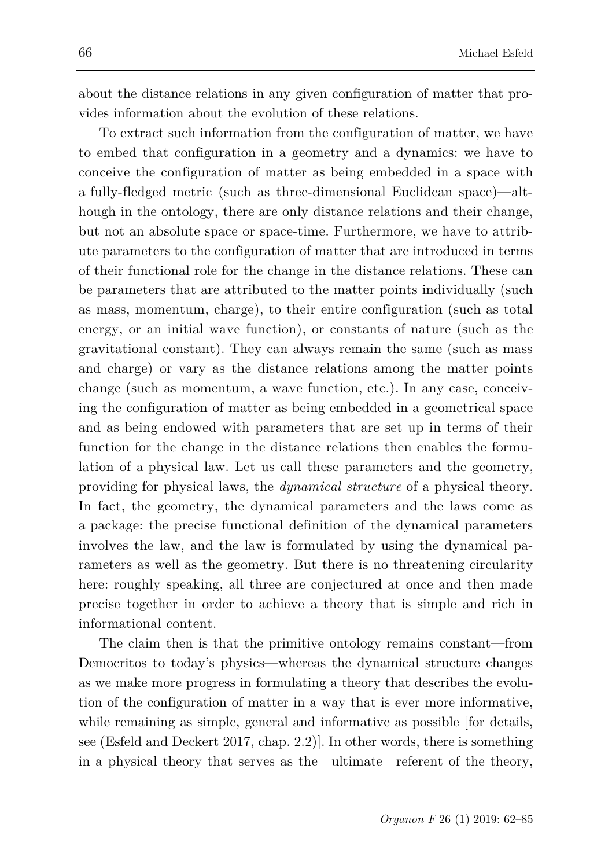about the distance relations in any given configuration of matter that provides information about the evolution of these relations.

To extract such information from the configuration of matter, we have to embed that configuration in a geometry and a dynamics: we have to conceive the configuration of matter as being embedded in a space with a fully-fledged metric (such as three-dimensional Euclidean space)—although in the ontology, there are only distance relations and their change, but not an absolute space or space-time. Furthermore, we have to attribute parameters to the configuration of matter that are introduced in terms of their functional role for the change in the distance relations. These can be parameters that are attributed to the matter points individually (such as mass, momentum, charge), to their entire configuration (such as total energy, or an initial wave function), or constants of nature (such as the gravitational constant). They can always remain the same (such as mass and charge) or vary as the distance relations among the matter points change (such as momentum, a wave function, etc.). In any case, conceiving the configuration of matter as being embedded in a geometrical space and as being endowed with parameters that are set up in terms of their function for the change in the distance relations then enables the formulation of a physical law. Let us call these parameters and the geometry, providing for physical laws, the *dynamical structure* of a physical theory. In fact, the geometry, the dynamical parameters and the laws come as a package: the precise functional definition of the dynamical parameters involves the law, and the law is formulated by using the dynamical parameters as well as the geometry. But there is no threatening circularity here: roughly speaking, all three are conjectured at once and then made precise together in order to achieve a theory that is simple and rich in informational content.

The claim then is that the primitive ontology remains constant—from Democritos to today's physics—whereas the dynamical structure changes as we make more progress in formulating a theory that describes the evolution of the configuration of matter in a way that is ever more informative, while remaining as simple, general and informative as possible [for details, see (Esfeld and Deckert 2017, chap. 2.2)]. In other words, there is something in a physical theory that serves as the—ultimate—referent of the theory,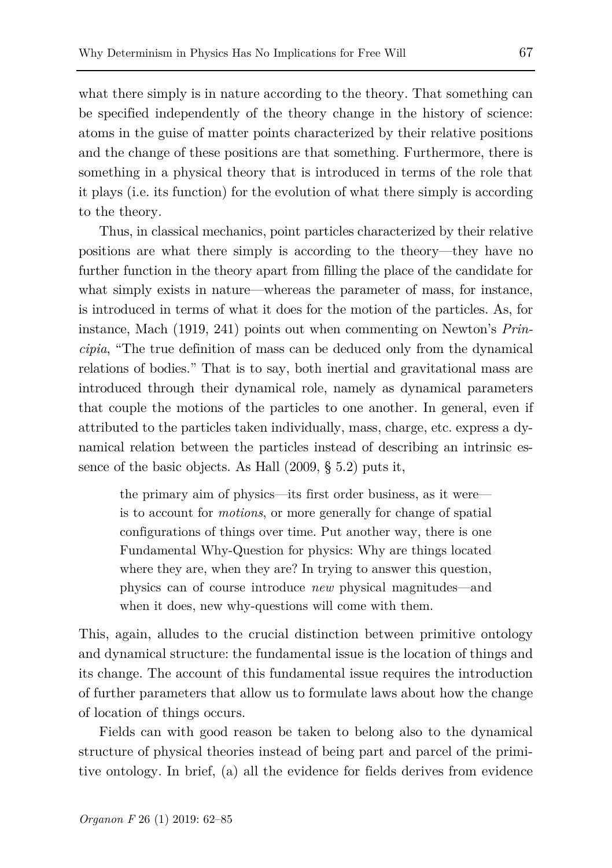what there simply is in nature according to the theory. That something can be specified independently of the theory change in the history of science: atoms in the guise of matter points characterized by their relative positions and the change of these positions are that something. Furthermore, there is something in a physical theory that is introduced in terms of the role that it plays (i.e. its function) for the evolution of what there simply is according to the theory.

Thus, in classical mechanics, point particles characterized by their relative positions are what there simply is according to the theory—they have no further function in the theory apart from filling the place of the candidate for what simply exists in nature—whereas the parameter of mass, for instance, is introduced in terms of what it does for the motion of the particles. As, for instance, Mach (1919, 241) points out when commenting on Newton's *Principia*, "The true definition of mass can be deduced only from the dynamical relations of bodies." That is to say, both inertial and gravitational mass are introduced through their dynamical role, namely as dynamical parameters that couple the motions of the particles to one another. In general, even if attributed to the particles taken individually, mass, charge, etc. express a dynamical relation between the particles instead of describing an intrinsic essence of the basic objects. As Hall (2009, § 5.2) puts it,

the primary aim of physics—its first order business, as it were is to account for *motions*, or more generally for change of spatial configurations of things over time. Put another way, there is one Fundamental Why-Question for physics: Why are things located where they are, when they are? In trying to answer this question, physics can of course introduce *new* physical magnitudes—and when it does, new why-questions will come with them.

This, again, alludes to the crucial distinction between primitive ontology and dynamical structure: the fundamental issue is the location of things and its change. The account of this fundamental issue requires the introduction of further parameters that allow us to formulate laws about how the change of location of things occurs.

Fields can with good reason be taken to belong also to the dynamical structure of physical theories instead of being part and parcel of the primitive ontology. In brief, (a) all the evidence for fields derives from evidence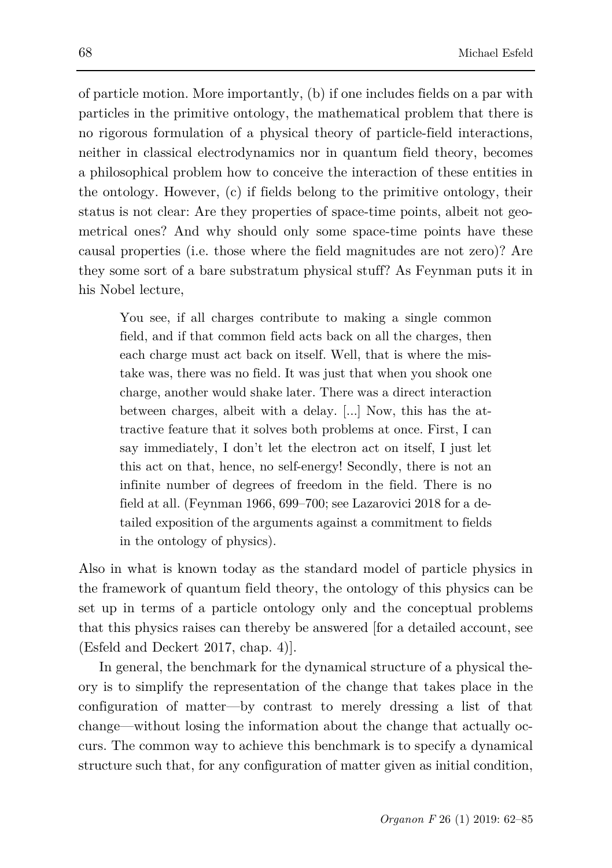of particle motion. More importantly, (b) if one includes fields on a par with particles in the primitive ontology, the mathematical problem that there is no rigorous formulation of a physical theory of particle-field interactions, neither in classical electrodynamics nor in quantum field theory, becomes a philosophical problem how to conceive the interaction of these entities in the ontology. However, (c) if fields belong to the primitive ontology, their status is not clear: Are they properties of space-time points, albeit not geometrical ones? And why should only some space-time points have these causal properties (i.e. those where the field magnitudes are not zero)? Are they some sort of a bare substratum physical stuff? As Feynman puts it in his Nobel lecture,

You see, if all charges contribute to making a single common field, and if that common field acts back on all the charges, then each charge must act back on itself. Well, that is where the mistake was, there was no field. It was just that when you shook one charge, another would shake later. There was a direct interaction between charges, albeit with a delay. [...] Now, this has the attractive feature that it solves both problems at once. First, I can say immediately, I don't let the electron act on itself, I just let this act on that, hence, no self-energy! Secondly, there is not an infinite number of degrees of freedom in the field. There is no field at all. (Feynman 1966, 699–700; see Lazarovici 2018 for a detailed exposition of the arguments against a commitment to fields in the ontology of physics).

Also in what is known today as the standard model of particle physics in the framework of quantum field theory, the ontology of this physics can be set up in terms of a particle ontology only and the conceptual problems that this physics raises can thereby be answered [for a detailed account, see (Esfeld and Deckert 2017, chap. 4)].

In general, the benchmark for the dynamical structure of a physical theory is to simplify the representation of the change that takes place in the configuration of matter—by contrast to merely dressing a list of that change—without losing the information about the change that actually occurs. The common way to achieve this benchmark is to specify a dynamical structure such that, for any configuration of matter given as initial condition,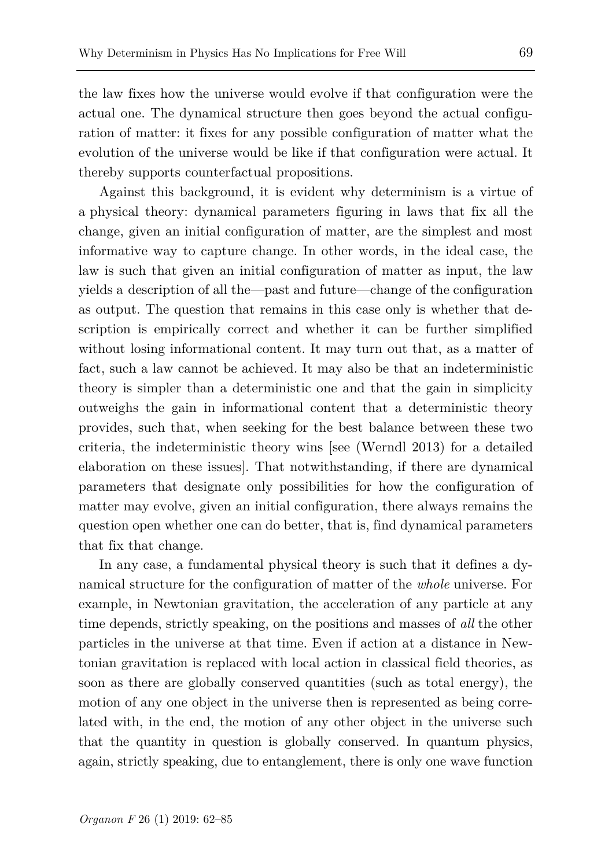the law fixes how the universe would evolve if that configuration were the actual one. The dynamical structure then goes beyond the actual configuration of matter: it fixes for any possible configuration of matter what the evolution of the universe would be like if that configuration were actual. It thereby supports counterfactual propositions.

Against this background, it is evident why determinism is a virtue of a physical theory: dynamical parameters figuring in laws that fix all the change, given an initial configuration of matter, are the simplest and most informative way to capture change. In other words, in the ideal case, the law is such that given an initial configuration of matter as input, the law yields a description of all the—past and future—change of the configuration as output. The question that remains in this case only is whether that description is empirically correct and whether it can be further simplified without losing informational content. It may turn out that, as a matter of fact, such a law cannot be achieved. It may also be that an indeterministic theory is simpler than a deterministic one and that the gain in simplicity outweighs the gain in informational content that a deterministic theory provides, such that, when seeking for the best balance between these two criteria, the indeterministic theory wins [see (Werndl 2013) for a detailed elaboration on these issues]. That notwithstanding, if there are dynamical parameters that designate only possibilities for how the configuration of matter may evolve, given an initial configuration, there always remains the question open whether one can do better, that is, find dynamical parameters that fix that change.

In any case, a fundamental physical theory is such that it defines a dynamical structure for the configuration of matter of the *whole* universe. For example, in Newtonian gravitation, the acceleration of any particle at any time depends, strictly speaking, on the positions and masses of *all* the other particles in the universe at that time. Even if action at a distance in Newtonian gravitation is replaced with local action in classical field theories, as soon as there are globally conserved quantities (such as total energy), the motion of any one object in the universe then is represented as being correlated with, in the end, the motion of any other object in the universe such that the quantity in question is globally conserved. In quantum physics, again, strictly speaking, due to entanglement, there is only one wave function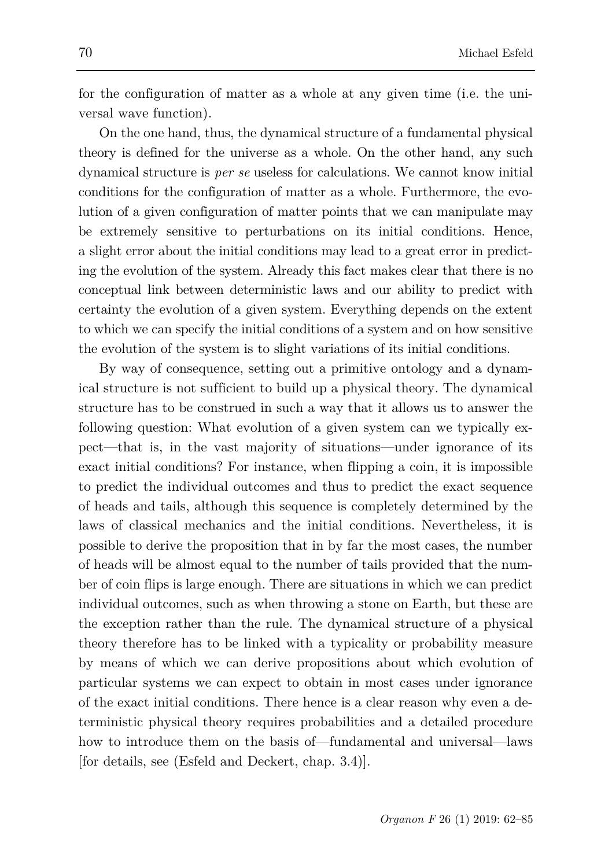for the configuration of matter as a whole at any given time (i.e. the universal wave function).

On the one hand, thus, the dynamical structure of a fundamental physical theory is defined for the universe as a whole. On the other hand, any such dynamical structure is *per se* useless for calculations. We cannot know initial conditions for the configuration of matter as a whole. Furthermore, the evolution of a given configuration of matter points that we can manipulate may be extremely sensitive to perturbations on its initial conditions. Hence, a slight error about the initial conditions may lead to a great error in predicting the evolution of the system. Already this fact makes clear that there is no conceptual link between deterministic laws and our ability to predict with certainty the evolution of a given system. Everything depends on the extent to which we can specify the initial conditions of a system and on how sensitive the evolution of the system is to slight variations of its initial conditions.

By way of consequence, setting out a primitive ontology and a dynamical structure is not sufficient to build up a physical theory. The dynamical structure has to be construed in such a way that it allows us to answer the following question: What evolution of a given system can we typically expect—that is, in the vast majority of situations—under ignorance of its exact initial conditions? For instance, when flipping a coin, it is impossible to predict the individual outcomes and thus to predict the exact sequence of heads and tails, although this sequence is completely determined by the laws of classical mechanics and the initial conditions. Nevertheless, it is possible to derive the proposition that in by far the most cases, the number of heads will be almost equal to the number of tails provided that the number of coin flips is large enough. There are situations in which we can predict individual outcomes, such as when throwing a stone on Earth, but these are the exception rather than the rule. The dynamical structure of a physical theory therefore has to be linked with a typicality or probability measure by means of which we can derive propositions about which evolution of particular systems we can expect to obtain in most cases under ignorance of the exact initial conditions. There hence is a clear reason why even a deterministic physical theory requires probabilities and a detailed procedure how to introduce them on the basis of—fundamental and universal—laws [for details, see (Esfeld and Deckert, chap. 3.4)].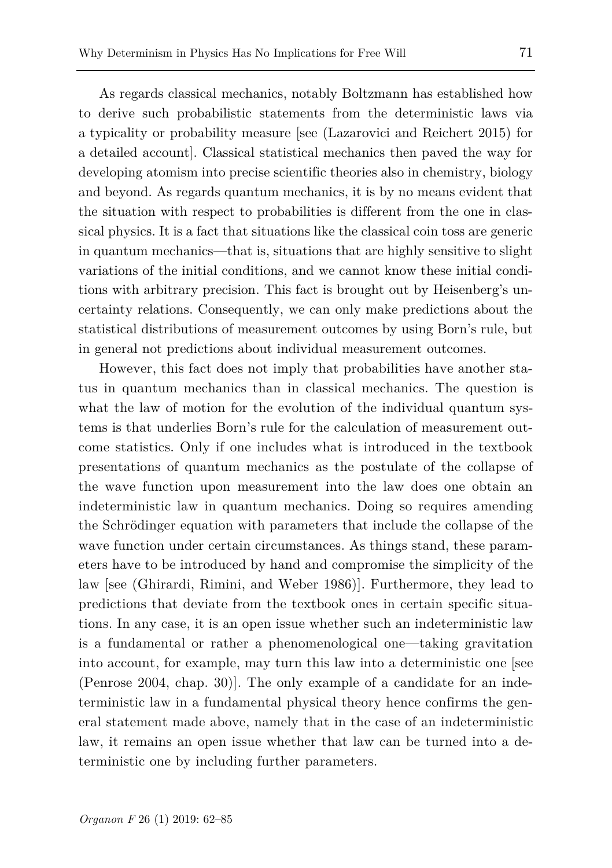As regards classical mechanics, notably Boltzmann has established how to derive such probabilistic statements from the deterministic laws via a typicality or probability measure [see (Lazarovici and Reichert 2015) for a detailed account]. Classical statistical mechanics then paved the way for developing atomism into precise scientific theories also in chemistry, biology and beyond. As regards quantum mechanics, it is by no means evident that the situation with respect to probabilities is different from the one in classical physics. It is a fact that situations like the classical coin toss are generic in quantum mechanics—that is, situations that are highly sensitive to slight variations of the initial conditions, and we cannot know these initial conditions with arbitrary precision. This fact is brought out by Heisenberg's uncertainty relations. Consequently, we can only make predictions about the statistical distributions of measurement outcomes by using Born's rule, but in general not predictions about individual measurement outcomes.

However, this fact does not imply that probabilities have another status in quantum mechanics than in classical mechanics. The question is what the law of motion for the evolution of the individual quantum systems is that underlies Born's rule for the calculation of measurement outcome statistics. Only if one includes what is introduced in the textbook presentations of quantum mechanics as the postulate of the collapse of the wave function upon measurement into the law does one obtain an indeterministic law in quantum mechanics. Doing so requires amending the Schrödinger equation with parameters that include the collapse of the wave function under certain circumstances. As things stand, these parameters have to be introduced by hand and compromise the simplicity of the law [see (Ghirardi, Rimini, and Weber 1986)]. Furthermore, they lead to predictions that deviate from the textbook ones in certain specific situations. In any case, it is an open issue whether such an indeterministic law is a fundamental or rather a phenomenological one—taking gravitation into account, for example, may turn this law into a deterministic one [see (Penrose 2004, chap. 30)]. The only example of a candidate for an indeterministic law in a fundamental physical theory hence confirms the general statement made above, namely that in the case of an indeterministic law, it remains an open issue whether that law can be turned into a deterministic one by including further parameters.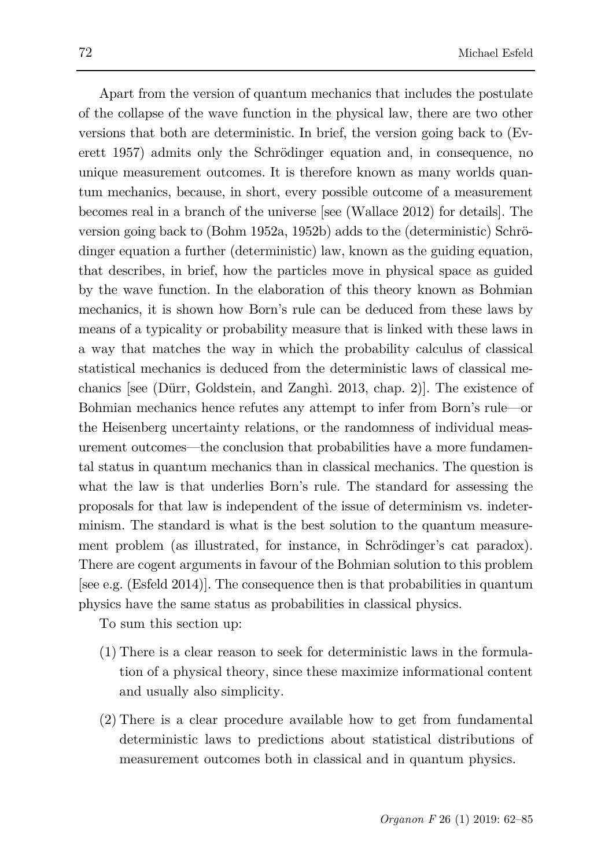Apart from the version of quantum mechanics that includes the postulate of the collapse of the wave function in the physical law, there are two other versions that both are deterministic. In brief, the version going back to (Everett 1957) admits only the Schrödinger equation and, in consequence, no unique measurement outcomes. It is therefore known as many worlds quantum mechanics, because, in short, every possible outcome of a measurement becomes real in a branch of the universe [see (Wallace 2012) for details]. The version going back to (Bohm 1952a, 1952b) adds to the (deterministic) Schrödinger equation a further (deterministic) law, known as the guiding equation, that describes, in brief, how the particles move in physical space as guided by the wave function. In the elaboration of this theory known as Bohmian mechanics, it is shown how Born's rule can be deduced from these laws by means of a typicality or probability measure that is linked with these laws in a way that matches the way in which the probability calculus of classical statistical mechanics is deduced from the deterministic laws of classical mechanics [see (Dürr, Goldstein, and Zanghì. 2013, chap. 2)]. The existence of Bohmian mechanics hence refutes any attempt to infer from Born's rule—or the Heisenberg uncertainty relations, or the randomness of individual measurement outcomes—the conclusion that probabilities have a more fundamental status in quantum mechanics than in classical mechanics. The question is what the law is that underlies Born's rule. The standard for assessing the proposals for that law is independent of the issue of determinism vs. indeterminism. The standard is what is the best solution to the quantum measurement problem (as illustrated, for instance, in Schrödinger's cat paradox). There are cogent arguments in favour of the Bohmian solution to this problem [see e.g. (Esfeld 2014)]. The consequence then is that probabilities in quantum physics have the same status as probabilities in classical physics.

To sum this section up:

- (1) There is a clear reason to seek for deterministic laws in the formulation of a physical theory, since these maximize informational content and usually also simplicity.
- (2) There is a clear procedure available how to get from fundamental deterministic laws to predictions about statistical distributions of measurement outcomes both in classical and in quantum physics.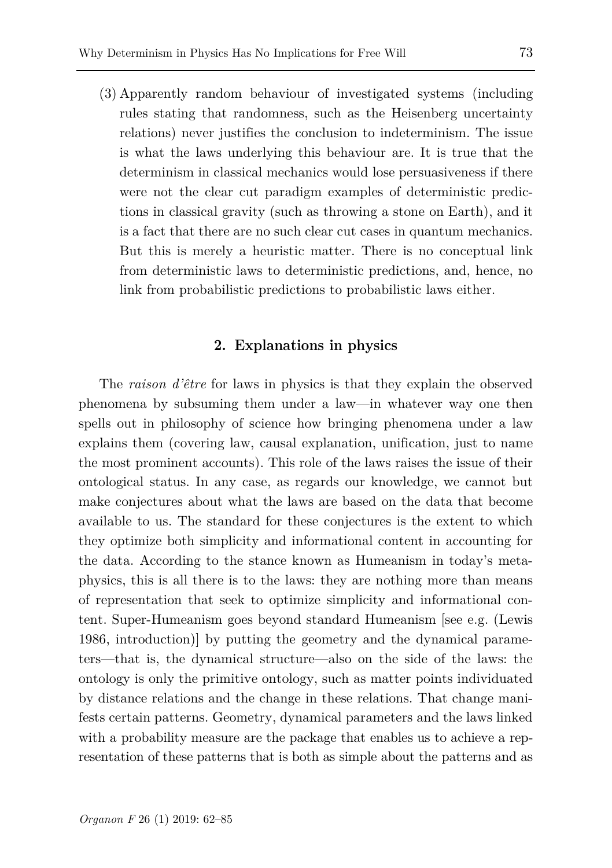(3) Apparently random behaviour of investigated systems (including rules stating that randomness, such as the Heisenberg uncertainty relations) never justifies the conclusion to indeterminism. The issue is what the laws underlying this behaviour are. It is true that the determinism in classical mechanics would lose persuasiveness if there were not the clear cut paradigm examples of deterministic predictions in classical gravity (such as throwing a stone on Earth), and it is a fact that there are no such clear cut cases in quantum mechanics. But this is merely a heuristic matter. There is no conceptual link from deterministic laws to deterministic predictions, and, hence, no link from probabilistic predictions to probabilistic laws either.

### **2. Explanations in physics**

The *raison d'être* for laws in physics is that they explain the observed phenomena by subsuming them under a law—in whatever way one then spells out in philosophy of science how bringing phenomena under a law explains them (covering law, causal explanation, unification, just to name the most prominent accounts). This role of the laws raises the issue of their ontological status. In any case, as regards our knowledge, we cannot but make conjectures about what the laws are based on the data that become available to us. The standard for these conjectures is the extent to which they optimize both simplicity and informational content in accounting for the data. According to the stance known as Humeanism in today's metaphysics, this is all there is to the laws: they are nothing more than means of representation that seek to optimize simplicity and informational content. Super-Humeanism goes beyond standard Humeanism [see e.g. (Lewis 1986, introduction)] by putting the geometry and the dynamical parameters—that is, the dynamical structure—also on the side of the laws: the ontology is only the primitive ontology, such as matter points individuated by distance relations and the change in these relations. That change manifests certain patterns. Geometry, dynamical parameters and the laws linked with a probability measure are the package that enables us to achieve a representation of these patterns that is both as simple about the patterns and as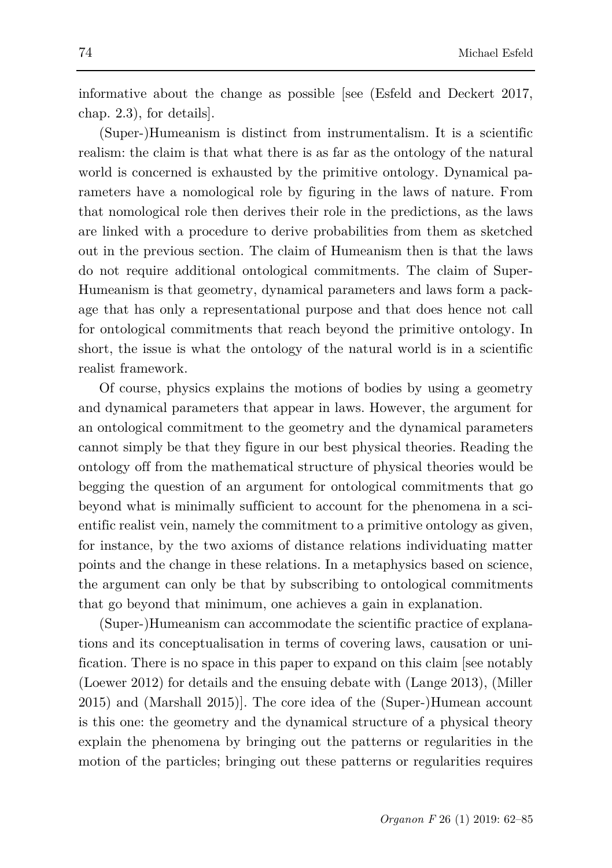informative about the change as possible [see (Esfeld and Deckert 2017, chap. 2.3), for details].

(Super-)Humeanism is distinct from instrumentalism. It is a scientific realism: the claim is that what there is as far as the ontology of the natural world is concerned is exhausted by the primitive ontology. Dynamical parameters have a nomological role by figuring in the laws of nature. From that nomological role then derives their role in the predictions, as the laws are linked with a procedure to derive probabilities from them as sketched out in the previous section. The claim of Humeanism then is that the laws do not require additional ontological commitments. The claim of Super-Humeanism is that geometry, dynamical parameters and laws form a package that has only a representational purpose and that does hence not call for ontological commitments that reach beyond the primitive ontology. In short, the issue is what the ontology of the natural world is in a scientific realist framework.

Of course, physics explains the motions of bodies by using a geometry and dynamical parameters that appear in laws. However, the argument for an ontological commitment to the geometry and the dynamical parameters cannot simply be that they figure in our best physical theories. Reading the ontology off from the mathematical structure of physical theories would be begging the question of an argument for ontological commitments that go beyond what is minimally sufficient to account for the phenomena in a scientific realist vein, namely the commitment to a primitive ontology as given, for instance, by the two axioms of distance relations individuating matter points and the change in these relations. In a metaphysics based on science, the argument can only be that by subscribing to ontological commitments that go beyond that minimum, one achieves a gain in explanation.

(Super-)Humeanism can accommodate the scientific practice of explanations and its conceptualisation in terms of covering laws, causation or unification. There is no space in this paper to expand on this claim [see notably (Loewer 2012) for details and the ensuing debate with (Lange 2013), (Miller 2015) and (Marshall 2015)]. The core idea of the (Super-)Humean account is this one: the geometry and the dynamical structure of a physical theory explain the phenomena by bringing out the patterns or regularities in the motion of the particles; bringing out these patterns or regularities requires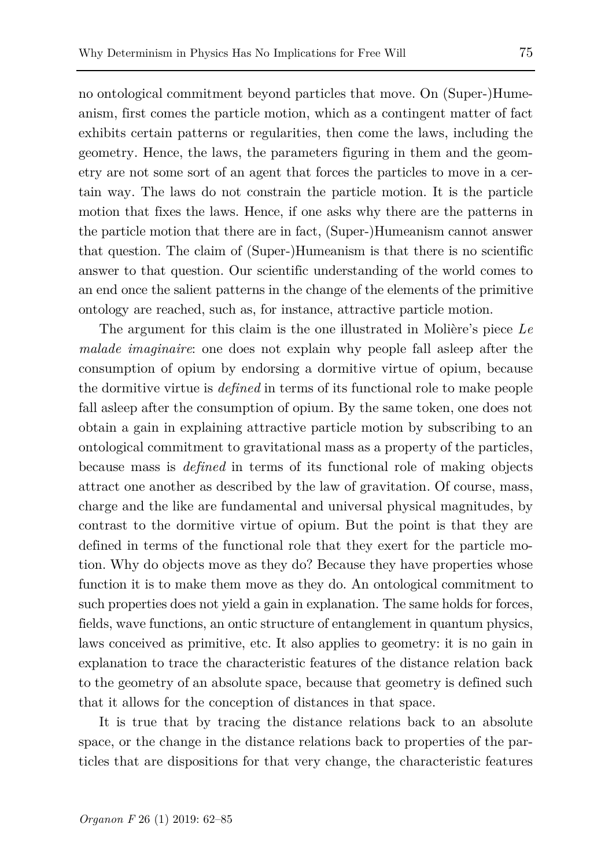no ontological commitment beyond particles that move. On (Super-)Humeanism, first comes the particle motion, which as a contingent matter of fact exhibits certain patterns or regularities, then come the laws, including the geometry. Hence, the laws, the parameters figuring in them and the geometry are not some sort of an agent that forces the particles to move in a certain way. The laws do not constrain the particle motion. It is the particle motion that fixes the laws. Hence, if one asks why there are the patterns in the particle motion that there are in fact, (Super-)Humeanism cannot answer that question. The claim of (Super-)Humeanism is that there is no scientific answer to that question. Our scientific understanding of the world comes to an end once the salient patterns in the change of the elements of the primitive ontology are reached, such as, for instance, attractive particle motion.

The argument for this claim is the one illustrated in Molière's piece *Le malade imaginaire*: one does not explain why people fall asleep after the consumption of opium by endorsing a dormitive virtue of opium, because the dormitive virtue is *defined* in terms of its functional role to make people fall asleep after the consumption of opium. By the same token, one does not obtain a gain in explaining attractive particle motion by subscribing to an ontological commitment to gravitational mass as a property of the particles, because mass is *defined* in terms of its functional role of making objects attract one another as described by the law of gravitation. Of course, mass, charge and the like are fundamental and universal physical magnitudes, by contrast to the dormitive virtue of opium. But the point is that they are defined in terms of the functional role that they exert for the particle motion. Why do objects move as they do? Because they have properties whose function it is to make them move as they do. An ontological commitment to such properties does not yield a gain in explanation. The same holds for forces, fields, wave functions, an ontic structure of entanglement in quantum physics, laws conceived as primitive, etc. It also applies to geometry: it is no gain in explanation to trace the characteristic features of the distance relation back to the geometry of an absolute space, because that geometry is defined such that it allows for the conception of distances in that space.

It is true that by tracing the distance relations back to an absolute space, or the change in the distance relations back to properties of the particles that are dispositions for that very change, the characteristic features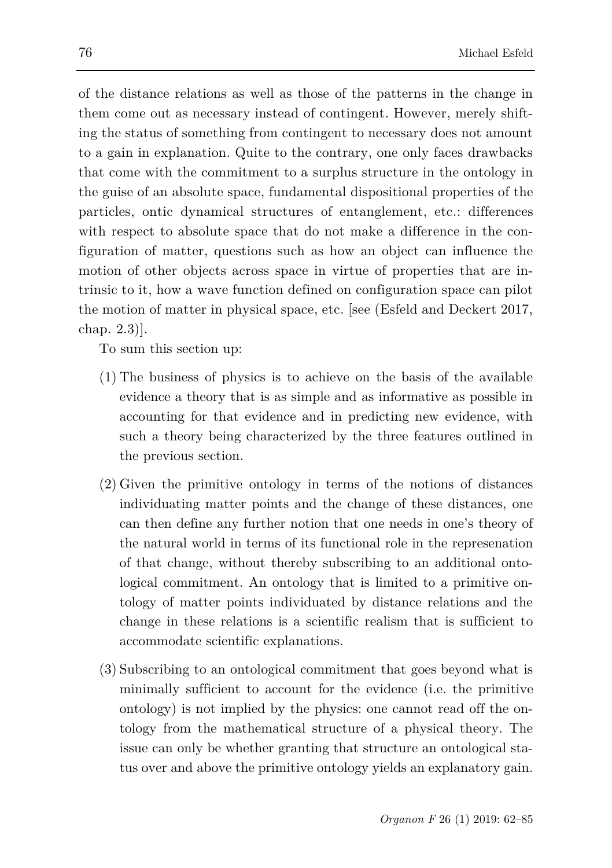of the distance relations as well as those of the patterns in the change in them come out as necessary instead of contingent. However, merely shifting the status of something from contingent to necessary does not amount to a gain in explanation. Quite to the contrary, one only faces drawbacks that come with the commitment to a surplus structure in the ontology in the guise of an absolute space, fundamental dispositional properties of the particles, ontic dynamical structures of entanglement, etc.: differences with respect to absolute space that do not make a difference in the configuration of matter, questions such as how an object can influence the motion of other objects across space in virtue of properties that are intrinsic to it, how a wave function defined on configuration space can pilot the motion of matter in physical space, etc. [see (Esfeld and Deckert 2017, chap. 2.3)].

To sum this section up:

- (1) The business of physics is to achieve on the basis of the available evidence a theory that is as simple and as informative as possible in accounting for that evidence and in predicting new evidence, with such a theory being characterized by the three features outlined in the previous section.
- (2) Given the primitive ontology in terms of the notions of distances individuating matter points and the change of these distances, one can then define any further notion that one needs in one's theory of the natural world in terms of its functional role in the represenation of that change, without thereby subscribing to an additional ontological commitment. An ontology that is limited to a primitive ontology of matter points individuated by distance relations and the change in these relations is a scientific realism that is sufficient to accommodate scientific explanations.
- (3) Subscribing to an ontological commitment that goes beyond what is minimally sufficient to account for the evidence (i.e. the primitive ontology) is not implied by the physics: one cannot read off the ontology from the mathematical structure of a physical theory. The issue can only be whether granting that structure an ontological status over and above the primitive ontology yields an explanatory gain.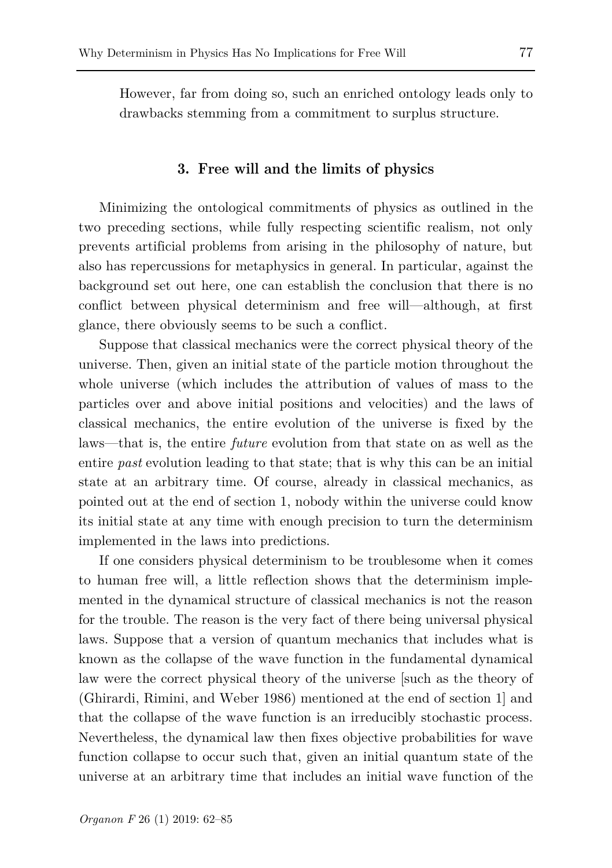However, far from doing so, such an enriched ontology leads only to drawbacks stemming from a commitment to surplus structure.

### **3. Free will and the limits of physics**

Minimizing the ontological commitments of physics as outlined in the two preceding sections, while fully respecting scientific realism, not only prevents artificial problems from arising in the philosophy of nature, but also has repercussions for metaphysics in general. In particular, against the background set out here, one can establish the conclusion that there is no conflict between physical determinism and free will—although, at first glance, there obviously seems to be such a conflict.

Suppose that classical mechanics were the correct physical theory of the universe. Then, given an initial state of the particle motion throughout the whole universe (which includes the attribution of values of mass to the particles over and above initial positions and velocities) and the laws of classical mechanics, the entire evolution of the universe is fixed by the laws—that is, the entire *future* evolution from that state on as well as the entire *past* evolution leading to that state; that is why this can be an initial state at an arbitrary time. Of course, already in classical mechanics, as pointed out at the end of section 1, nobody within the universe could know its initial state at any time with enough precision to turn the determinism implemented in the laws into predictions.

If one considers physical determinism to be troublesome when it comes to human free will, a little reflection shows that the determinism implemented in the dynamical structure of classical mechanics is not the reason for the trouble. The reason is the very fact of there being universal physical laws. Suppose that a version of quantum mechanics that includes what is known as the collapse of the wave function in the fundamental dynamical law were the correct physical theory of the universe [such as the theory of (Ghirardi, Rimini, and Weber 1986) mentioned at the end of section 1] and that the collapse of the wave function is an irreducibly stochastic process. Nevertheless, the dynamical law then fixes objective probabilities for wave function collapse to occur such that, given an initial quantum state of the universe at an arbitrary time that includes an initial wave function of the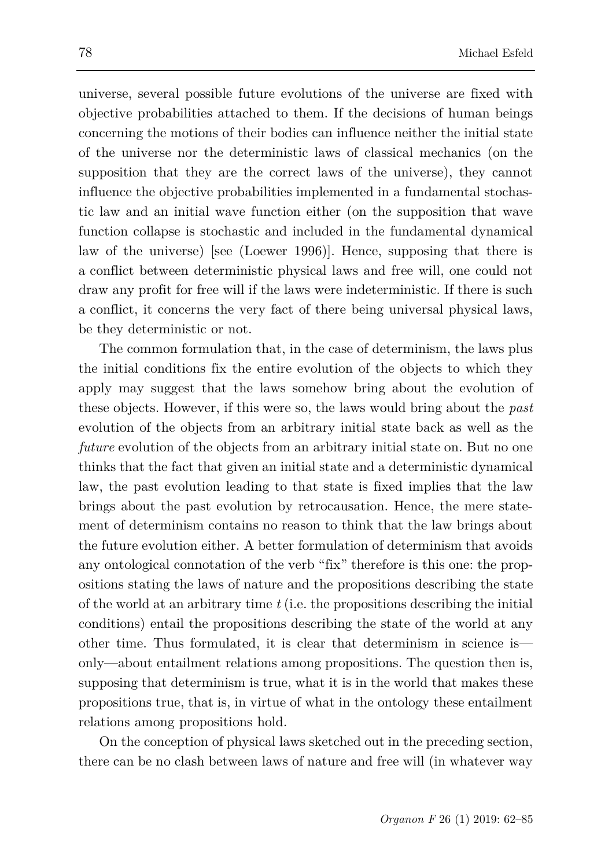universe, several possible future evolutions of the universe are fixed with objective probabilities attached to them. If the decisions of human beings concerning the motions of their bodies can influence neither the initial state of the universe nor the deterministic laws of classical mechanics (on the supposition that they are the correct laws of the universe), they cannot influence the objective probabilities implemented in a fundamental stochastic law and an initial wave function either (on the supposition that wave function collapse is stochastic and included in the fundamental dynamical law of the universe) [see (Loewer 1996)]. Hence, supposing that there is a conflict between deterministic physical laws and free will, one could not draw any profit for free will if the laws were indeterministic. If there is such a conflict, it concerns the very fact of there being universal physical laws, be they deterministic or not.

The common formulation that, in the case of determinism, the laws plus the initial conditions fix the entire evolution of the objects to which they apply may suggest that the laws somehow bring about the evolution of these objects. However, if this were so, the laws would bring about the *past* evolution of the objects from an arbitrary initial state back as well as the *future* evolution of the objects from an arbitrary initial state on. But no one thinks that the fact that given an initial state and a deterministic dynamical law, the past evolution leading to that state is fixed implies that the law brings about the past evolution by retrocausation. Hence, the mere statement of determinism contains no reason to think that the law brings about the future evolution either. A better formulation of determinism that avoids any ontological connotation of the verb "fix" therefore is this one: the propositions stating the laws of nature and the propositions describing the state of the world at an arbitrary time *t* (i.e. the propositions describing the initial conditions) entail the propositions describing the state of the world at any other time. Thus formulated, it is clear that determinism in science is only—about entailment relations among propositions. The question then is, supposing that determinism is true, what it is in the world that makes these propositions true, that is, in virtue of what in the ontology these entailment relations among propositions hold.

On the conception of physical laws sketched out in the preceding section, there can be no clash between laws of nature and free will (in whatever way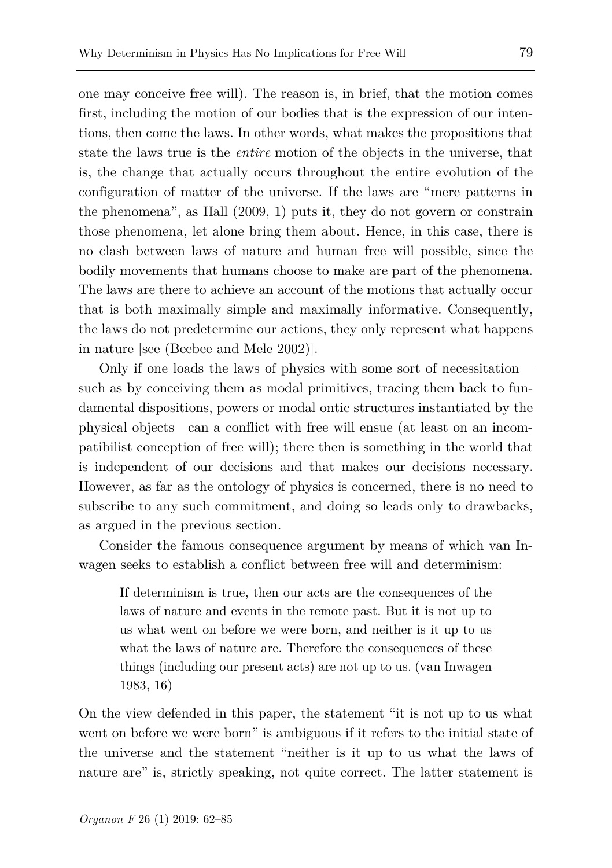one may conceive free will). The reason is, in brief, that the motion comes first, including the motion of our bodies that is the expression of our intentions, then come the laws. In other words, what makes the propositions that state the laws true is the *entire* motion of the objects in the universe, that is, the change that actually occurs throughout the entire evolution of the configuration of matter of the universe. If the laws are "mere patterns in the phenomena", as Hall (2009, 1) puts it, they do not govern or constrain those phenomena, let alone bring them about. Hence, in this case, there is no clash between laws of nature and human free will possible, since the bodily movements that humans choose to make are part of the phenomena. The laws are there to achieve an account of the motions that actually occur that is both maximally simple and maximally informative. Consequently, the laws do not predetermine our actions, they only represent what happens in nature [see (Beebee and Mele 2002)].

Only if one loads the laws of physics with some sort of necessitation such as by conceiving them as modal primitives, tracing them back to fundamental dispositions, powers or modal ontic structures instantiated by the physical objects—can a conflict with free will ensue (at least on an incompatibilist conception of free will); there then is something in the world that is independent of our decisions and that makes our decisions necessary. However, as far as the ontology of physics is concerned, there is no need to subscribe to any such commitment, and doing so leads only to drawbacks, as argued in the previous section.

Consider the famous consequence argument by means of which van Inwagen seeks to establish a conflict between free will and determinism:

If determinism is true, then our acts are the consequences of the laws of nature and events in the remote past. But it is not up to us what went on before we were born, and neither is it up to us what the laws of nature are. Therefore the consequences of these things (including our present acts) are not up to us. (van Inwagen 1983, 16)

On the view defended in this paper, the statement "it is not up to us what went on before we were born" is ambiguous if it refers to the initial state of the universe and the statement "neither is it up to us what the laws of nature are" is, strictly speaking, not quite correct. The latter statement is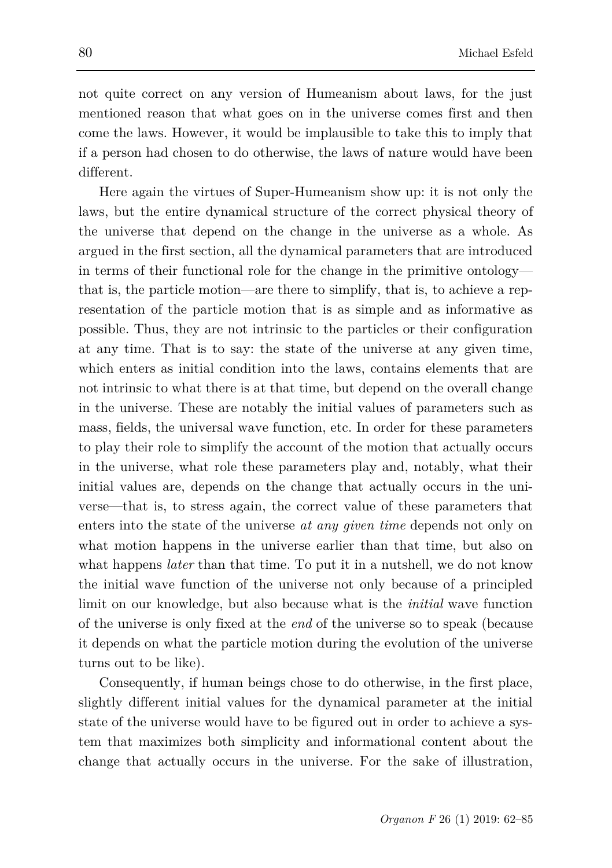not quite correct on any version of Humeanism about laws, for the just mentioned reason that what goes on in the universe comes first and then come the laws. However, it would be implausible to take this to imply that if a person had chosen to do otherwise, the laws of nature would have been different.

Here again the virtues of Super-Humeanism show up: it is not only the laws, but the entire dynamical structure of the correct physical theory of the universe that depend on the change in the universe as a whole. As argued in the first section, all the dynamical parameters that are introduced in terms of their functional role for the change in the primitive ontology that is, the particle motion—are there to simplify, that is, to achieve a representation of the particle motion that is as simple and as informative as possible. Thus, they are not intrinsic to the particles or their configuration at any time. That is to say: the state of the universe at any given time, which enters as initial condition into the laws, contains elements that are not intrinsic to what there is at that time, but depend on the overall change in the universe. These are notably the initial values of parameters such as mass, fields, the universal wave function, etc. In order for these parameters to play their role to simplify the account of the motion that actually occurs in the universe, what role these parameters play and, notably, what their initial values are, depends on the change that actually occurs in the universe—that is, to stress again, the correct value of these parameters that enters into the state of the universe *at any given time* depends not only on what motion happens in the universe earlier than that time, but also on what happens *later* than that time. To put it in a nutshell, we do not know the initial wave function of the universe not only because of a principled limit on our knowledge, but also because what is the *initial* wave function of the universe is only fixed at the *end* of the universe so to speak (because it depends on what the particle motion during the evolution of the universe turns out to be like).

Consequently, if human beings chose to do otherwise, in the first place, slightly different initial values for the dynamical parameter at the initial state of the universe would have to be figured out in order to achieve a system that maximizes both simplicity and informational content about the change that actually occurs in the universe. For the sake of illustration,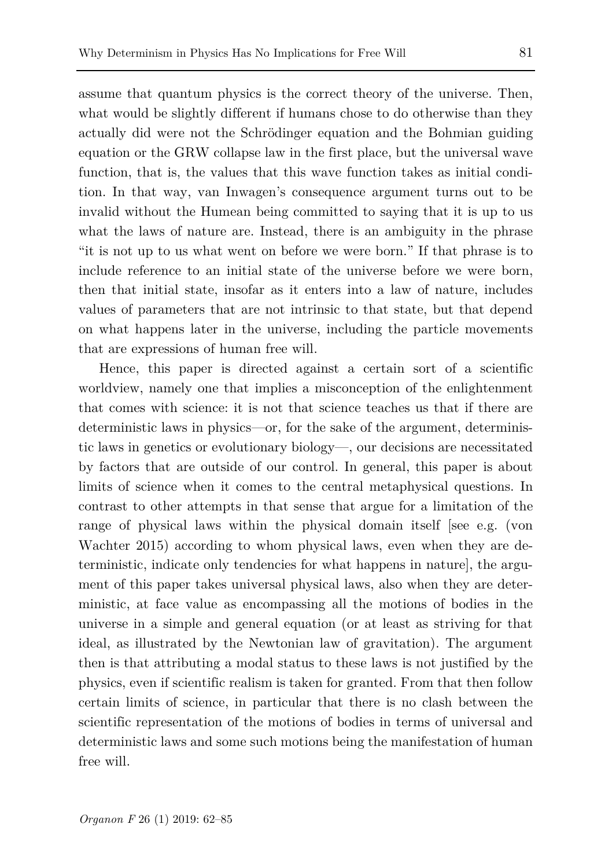assume that quantum physics is the correct theory of the universe. Then, what would be slightly different if humans chose to do otherwise than they actually did were not the Schrödinger equation and the Bohmian guiding equation or the GRW collapse law in the first place, but the universal wave function, that is, the values that this wave function takes as initial condition. In that way, van Inwagen's consequence argument turns out to be invalid without the Humean being committed to saying that it is up to us what the laws of nature are. Instead, there is an ambiguity in the phrase "it is not up to us what went on before we were born." If that phrase is to include reference to an initial state of the universe before we were born, then that initial state, insofar as it enters into a law of nature, includes values of parameters that are not intrinsic to that state, but that depend on what happens later in the universe, including the particle movements that are expressions of human free will.

Hence, this paper is directed against a certain sort of a scientific worldview, namely one that implies a misconception of the enlightenment that comes with science: it is not that science teaches us that if there are deterministic laws in physics—or, for the sake of the argument, deterministic laws in genetics or evolutionary biology—, our decisions are necessitated by factors that are outside of our control. In general, this paper is about limits of science when it comes to the central metaphysical questions. In contrast to other attempts in that sense that argue for a limitation of the range of physical laws within the physical domain itself [see e.g. (von Wachter 2015) according to whom physical laws, even when they are deterministic, indicate only tendencies for what happens in nature], the argument of this paper takes universal physical laws, also when they are deterministic, at face value as encompassing all the motions of bodies in the universe in a simple and general equation (or at least as striving for that ideal, as illustrated by the Newtonian law of gravitation). The argument then is that attributing a modal status to these laws is not justified by the physics, even if scientific realism is taken for granted. From that then follow certain limits of science, in particular that there is no clash between the scientific representation of the motions of bodies in terms of universal and deterministic laws and some such motions being the manifestation of human free will.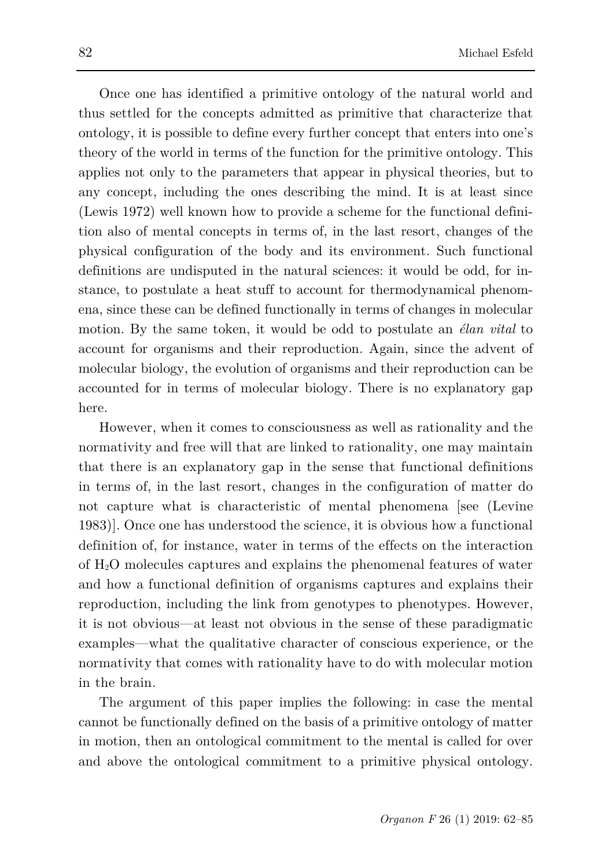Once one has identified a primitive ontology of the natural world and thus settled for the concepts admitted as primitive that characterize that ontology, it is possible to define every further concept that enters into one's theory of the world in terms of the function for the primitive ontology. This applies not only to the parameters that appear in physical theories, but to any concept, including the ones describing the mind. It is at least since (Lewis 1972) well known how to provide a scheme for the functional definition also of mental concepts in terms of, in the last resort, changes of the physical configuration of the body and its environment. Such functional definitions are undisputed in the natural sciences: it would be odd, for instance, to postulate a heat stuff to account for thermodynamical phenomena, since these can be defined functionally in terms of changes in molecular motion. By the same token, it would be odd to postulate an *élan vital* to account for organisms and their reproduction. Again, since the advent of molecular biology, the evolution of organisms and their reproduction can be accounted for in terms of molecular biology. There is no explanatory gap here.

However, when it comes to consciousness as well as rationality and the normativity and free will that are linked to rationality, one may maintain that there is an explanatory gap in the sense that functional definitions in terms of, in the last resort, changes in the configuration of matter do not capture what is characteristic of mental phenomena [see (Levine 1983)]. Once one has understood the science, it is obvious how a functional definition of, for instance, water in terms of the effects on the interaction of H2O molecules captures and explains the phenomenal features of water and how a functional definition of organisms captures and explains their reproduction, including the link from genotypes to phenotypes. However, it is not obvious—at least not obvious in the sense of these paradigmatic examples—what the qualitative character of conscious experience, or the normativity that comes with rationality have to do with molecular motion in the brain.

The argument of this paper implies the following: in case the mental cannot be functionally defined on the basis of a primitive ontology of matter in motion, then an ontological commitment to the mental is called for over and above the ontological commitment to a primitive physical ontology.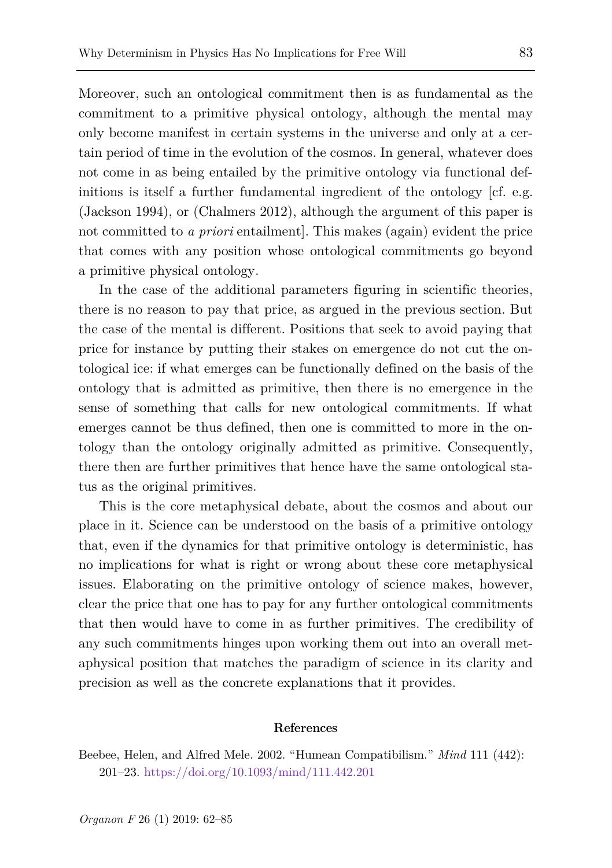Moreover, such an ontological commitment then is as fundamental as the commitment to a primitive physical ontology, although the mental may only become manifest in certain systems in the universe and only at a certain period of time in the evolution of the cosmos. In general, whatever does not come in as being entailed by the primitive ontology via functional definitions is itself a further fundamental ingredient of the ontology [cf. e.g. (Jackson 1994), or (Chalmers 2012), although the argument of this paper is not committed to *a priori* entailment]. This makes (again) evident the price that comes with any position whose ontological commitments go beyond a primitive physical ontology.

In the case of the additional parameters figuring in scientific theories, there is no reason to pay that price, as argued in the previous section. But the case of the mental is different. Positions that seek to avoid paying that price for instance by putting their stakes on emergence do not cut the ontological ice: if what emerges can be functionally defined on the basis of the ontology that is admitted as primitive, then there is no emergence in the sense of something that calls for new ontological commitments. If what emerges cannot be thus defined, then one is committed to more in the ontology than the ontology originally admitted as primitive. Consequently, there then are further primitives that hence have the same ontological status as the original primitives.

This is the core metaphysical debate, about the cosmos and about our place in it. Science can be understood on the basis of a primitive ontology that, even if the dynamics for that primitive ontology is deterministic, has no implications for what is right or wrong about these core metaphysical issues. Elaborating on the primitive ontology of science makes, however, clear the price that one has to pay for any further ontological commitments that then would have to come in as further primitives. The credibility of any such commitments hinges upon working them out into an overall metaphysical position that matches the paradigm of science in its clarity and precision as well as the concrete explanations that it provides.

#### **References**

Beebee, Helen, and Alfred Mele. 2002. "Humean Compatibilism." *Mind* 111 (442): 201–23. <https://doi.org/10.1093/mind/111.442.201>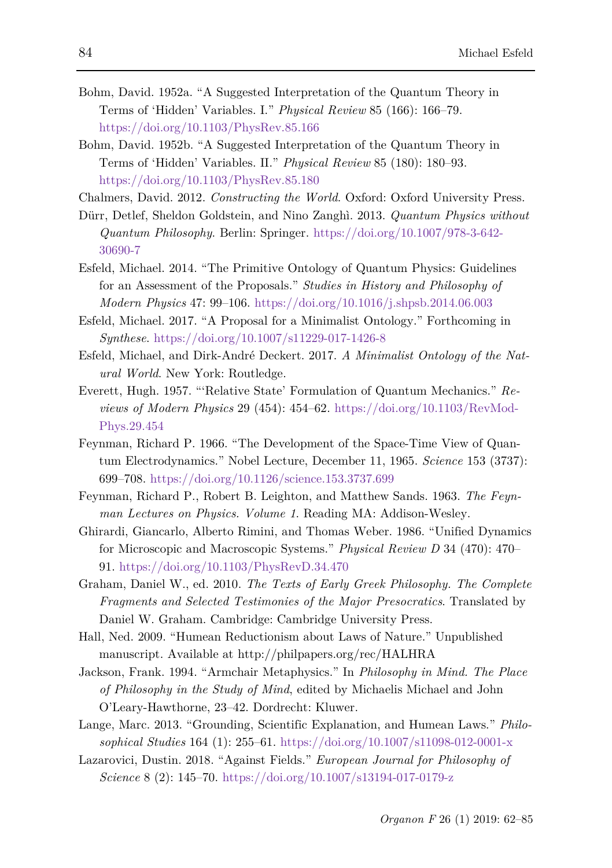- Bohm, David. 1952a. "A Suggested Interpretation of the Quantum Theory in Terms of 'Hidden' Variables. I." *Physical Review* 85 (166): 166–79. <https://doi.org/10.1103/PhysRev.85.166>
- Bohm, David. 1952b. "A Suggested Interpretation of the Quantum Theory in Terms of 'Hidden' Variables. II." *Physical Review* 85 (180): 180–93. <https://doi.org/10.1103/PhysRev.85.180>

Chalmers, David. 2012. *Constructing the World*. Oxford: Oxford University Press.

- Dürr, Detlef, Sheldon Goldstein, and Nino Zanghì. 2013. *Quantum Physics without Quantum Philosophy*. Berlin: Springer. [https://doi.org/10.1007/978-3-642-](https://doi.org/10.1007/978-3-642-30690-7) [30690-7](https://doi.org/10.1007/978-3-642-30690-7)
- Esfeld, Michael. 2014. "The Primitive Ontology of Quantum Physics: Guidelines for an Assessment of the Proposals." *Studies in History and Philosophy of Modern Physics* 47: 99–106. <https://doi.org/10.1016/j.shpsb.2014.06.003>
- Esfeld, Michael. 2017. "A Proposal for a Minimalist Ontology." Forthcoming in *Synthese*. <https://doi.org/10.1007/s11229-017-1426-8>
- Esfeld, Michael, and Dirk-André Deckert. 2017. *A Minimalist Ontology of the Natural World*. New York: Routledge.
- Everett, Hugh. 1957. "'Relative State' Formulation of Quantum Mechanics." *Reviews of Modern Physics* 29 (454): 454–62. [https://doi.org/10.1103/RevMod-](https://doi.org/10.1103/RevModPhys.29.454)[Phys.29.454](https://doi.org/10.1103/RevModPhys.29.454)
- Feynman, Richard P. 1966. "The Development of the Space-Time View of Quantum Electrodynamics." Nobel Lecture, December 11, 1965. *Science* 153 (3737): 699–708. <https://doi.org/10.1126/science.153.3737.699>
- Feynman, Richard P., Robert B. Leighton, and Matthew Sands. 1963. *The Feynman Lectures on Physics. Volume 1*. Reading MA: Addison-Wesley.
- Ghirardi, Giancarlo, Alberto Rimini, and Thomas Weber. 1986. "Unified Dynamics for Microscopic and Macroscopic Systems." *Physical Review D* 34 (470): 470– 91[. https://doi.org/10.1103/PhysRevD.34.470](https://doi.org/10.1103/PhysRevD.34.470)
- Graham, Daniel W., ed. 2010. *The Texts of Early Greek Philosophy. The Complete Fragments and Selected Testimonies of the Major Presocratics*. Translated by Daniel W. Graham. Cambridge: Cambridge University Press.
- Hall, Ned. 2009. "Humean Reductionism about Laws of Nature." Unpublished manuscript. Available at http://philpapers.org/rec/HALHRA
- Jackson, Frank. 1994. "Armchair Metaphysics." In *Philosophy in Mind. The Place of Philosophy in the Study of Mind*, edited by Michaelis Michael and John O'Leary-Hawthorne, 23–42. Dordrecht: Kluwer.
- Lange, Marc. 2013. "Grounding, Scientific Explanation, and Humean Laws." *Philosophical Studies* 164 (1): 255–61. <https://doi.org/10.1007/s11098-012-0001-x>
- Lazarovici, Dustin. 2018. "Against Fields." *European Journal for Philosophy of Science* 8 (2): 145–70. <https://doi.org/10.1007/s13194-017-0179-z>